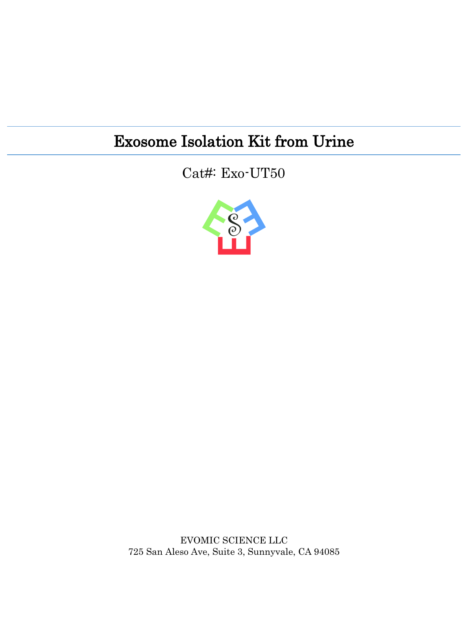### Exosome Isolation Kit from Urine

Cat#: Exo-UT50



EVOMIC SCIENCE LLC 725 San Aleso Ave, Suite 3, Sunnyvale, CA 94085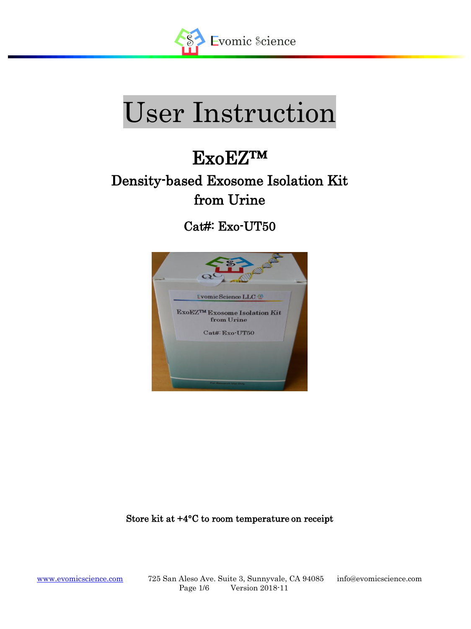

# User Instruction

## ExoEZ™

### Density-based Exosome Isolation Kit from Urine

Cat#: Exo-UT50



Store kit at +4°C to room temperature on receipt

L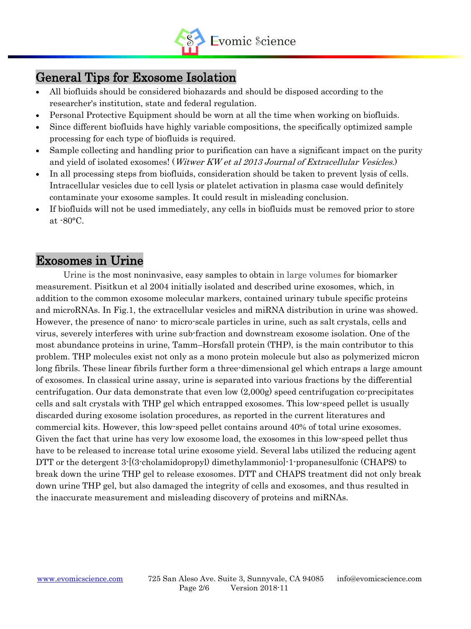

### General Tips for Exosome Isolation

- All biofluids should be considered biohazards and should be disposed according to the researcher's institution, state and federal regulation.
- Personal Protective Equipment should be worn at all the time when working on biofluids.
- Since different biofluids have highly variable compositions, the specifically optimized sample processing for each type of biofluids is required.
- Sample collecting and handling prior to purification can have a significant impact on the purity and yield of isolated exosomes! (*Witwer KW et al 2013 Journal of Extracellular Vesicles*.)
- In all processing steps from biofluids, consideration should be taken to prevent lysis of cells. Intracellular vesicles due to cell lysis or platelet activation in plasma case would definitely contaminate your exosome samples. It could result in misleading conclusion.
- If biofluids will not be used immediately, any cells in biofluids must be removed prior to store at -80°C.

#### Exosomes in Urine

L

Urine is the most noninvasive, easy samples to obtain in large volumes for biomarker measurement. Pisitkun et al 2004 initially isolated and described urine exosomes, which, in addition to the common exosome molecular markers, contained urinary tubule specific proteins and microRNAs. In Fig.1, the extracellular vesicles and miRNA distribution in urine was showed. However, the presence of nano- to micro-scale particles in urine, such as salt crystals, cells and virus, severely interferes with urine sub-fraction and downstream exosome isolation. One of the most abundance proteins in urine, Tamm–Horsfall protein (THP), is the main contributor to this problem. THP molecules exist not only as a mono protein molecule but also as polymerized micron long fibrils. These linear fibrils further form a three-dimensional gel which entraps a large amount of exosomes. In classical urine assay, urine is separated into various fractions by the differential centrifugation. Our data demonstrate that even low (2,000g) speed centrifugation co-precipitates cells and salt crystals with THP gel which entrapped exosomes. This low-speed pellet is usually discarded during exosome isolation procedures, as reported in the current literatures and commercial kits. However, this low-speed pellet contains around 40% of total urine exosomes. Given the fact that urine has very low exosome load, the exosomes in this low-speed pellet thus have to be released to increase total urine exosome yield. Several labs utilized the reducing agent DTT or the detergent 3-[(3-cholamidopropyl) dimethylammonio]-1-propanesulfonic (CHAPS) to break down the urine THP gel to release exosomes. DTT and CHAPS treatment did not only break down urine THP gel, but also damaged the integrity of cells and exosomes, and thus resulted in the inaccurate measurement and misleading discovery of proteins and miRNAs.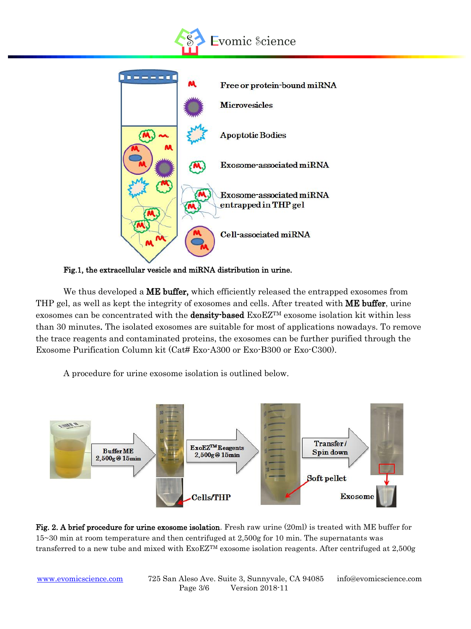



Fig.1, the extracellular vesicle and miRNA distribution in urine.

We thus developed a **ME buffer**, which efficiently released the entrapped exosomes from THP gel, as well as kept the integrity of exosomes and cells. After treated with ME buffer, urine exosomes can be concentrated with the **density-based** ExoEZ<sup>TM</sup> exosome isolation kit within less than 30 minutes. The isolated exosomes are suitable for most of applications nowadays. To remove the trace reagents and contaminated proteins, the exosomes can be further purified through the Exosome Purification Column kit (Cat# Exo-A300 or Exo-B300 or Exo-C300).

A procedure for urine exosome isolation is outlined below.



Fig. 2. A brief procedure for urine exosome isolation. Fresh raw urine (20ml) is treated with ME buffer for 15~30 min at room temperature and then centrifuged at 2,500g for 10 min. The supernatants was transferred to a new tube and mixed with ExoEZTM exosome isolation reagents. After centrifuged at 2,500g

L

[www.evomicscience.com](http://www.evomicscience.com/) 725 San Aleso Ave. Suite 3, Sunnyvale, CA 94085 info@evomicscience.com Page 3/6 Version 2018-11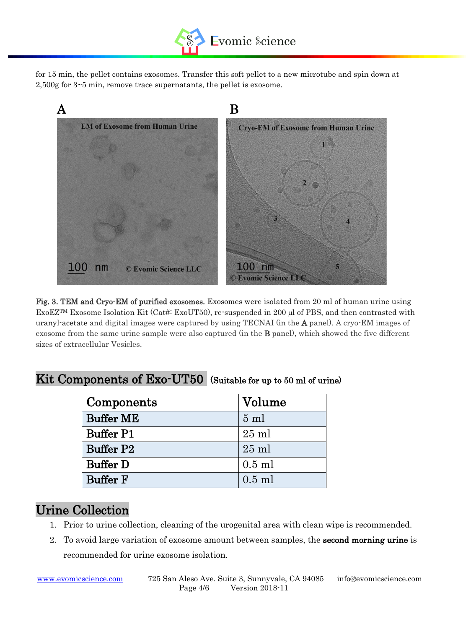

for 15 min, the pellet contains exosomes. Transfer this soft pellet to a new microtube and spin down at 2,500g for 3~5 min, remove trace supernatants, the pellet is exosome.



Fig. 3. TEM and Cryo-EM of purified exosomes. Exosomes were isolated from 20 ml of human urine using ExoEZ<sup>TM</sup> Exosome Isolation Kit (Cat#: ExoUT50), re-suspended in 200  $\mu$ l of PBS, and then contrasted with uranyl-acetate and digital images were captured by using TECNAI (in the A panel). A cryo-EM images of exosome from the same urine sample were also captured (in the B panel), which showed the five different sizes of extracellular Vesicles.

| Components       | Volume          |  |
|------------------|-----------------|--|
| <b>Buffer ME</b> | $5 \text{ ml}$  |  |
| <b>Buffer P1</b> | $25 \text{ ml}$ |  |
| <b>Buffer P2</b> | $25 \text{ ml}$ |  |
| <b>Buffer D</b>  | $0.5$ ml        |  |
| <b>Buffer F</b>  | $0.5$ ml        |  |

#### Kit Components of Exo-UT50 (Suitable for up to 50 ml of urine)

#### Urine Collection

L

- 1. Prior to urine collection, cleaning of the urogenital area with clean wipe is recommended.
- 2. To avoid large variation of exosome amount between samples, the **second morning urine** is recommended for urine exosome isolation.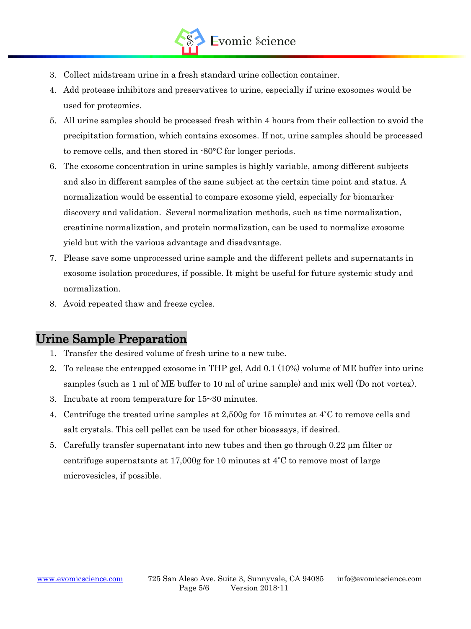

- 3. Collect midstream urine in a fresh standard urine collection container.
- 4. Add protease inhibitors and preservatives to urine, especially if urine exosomes would be used for proteomics.
- 5. All urine samples should be processed fresh within 4 hours from their collection to avoid the precipitation formation, which contains exosomes. If not, urine samples should be processed to remove cells, and then stored in -80°C for longer periods.
- 6. The exosome concentration in urine samples is highly variable, among different subjects and also in different samples of the same subject at the certain time point and status. A normalization would be essential to compare exosome yield, especially for biomarker discovery and validation. Several normalization methods, such as time normalization, creatinine normalization, and protein normalization, can be used to normalize exosome yield but with the various advantage and disadvantage.
- 7. Please save some unprocessed urine sample and the different pellets and supernatants in exosome isolation procedures, if possible. It might be useful for future systemic study and normalization.
- 8. Avoid repeated thaw and freeze cycles.

#### Urine Sample Preparation

L

- 1. Transfer the desired volume of fresh urine to a new tube.
- 2. To release the entrapped exosome in THP gel, Add 0.1 (10%) volume of ME buffer into urine samples (such as 1 ml of ME buffer to 10 ml of urine sample) and mix well (Do not vortex).
- 3. Incubate at room temperature for 15~30 minutes.
- 4. Centrifuge the treated urine samples at 2,500g for 15 minutes at  $4^{\circ}$ C to remove cells and salt crystals. This cell pellet can be used for other bioassays, if desired.
- 5. Carefully transfer supernatant into new tubes and then go through  $0.22 \mu m$  filter or centrifuge supernatants at 17,000g for 10 minutes at  $4^{\circ}$ C to remove most of large microvesicles, if possible.